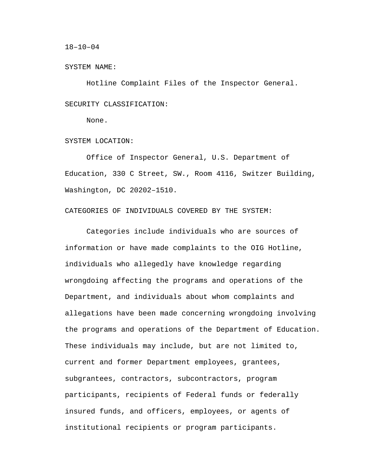#### 18–10–04

#### SYSTEM NAME:

Hotline Complaint Files of the Inspector General. SECURITY CLASSIFICATION:

None.

SYSTEM LOCATION:

Office of Inspector General, U.S. Department of Education, 330 C Street, SW., Room 4116, Switzer Building, Washington, DC 20202–1510.

CATEGORIES OF INDIVIDUALS COVERED BY THE SYSTEM:

Categories include individuals who are sources of information or have made complaints to the OIG Hotline, individuals who allegedly have knowledge regarding wrongdoing affecting the programs and operations of the Department, and individuals about whom complaints and allegations have been made concerning wrongdoing involving the programs and operations of the Department of Education. These individuals may include, but are not limited to, current and former Department employees, grantees, subgrantees, contractors, subcontractors, program participants, recipients of Federal funds or federally insured funds, and officers, employees, or agents of institutional recipients or program participants.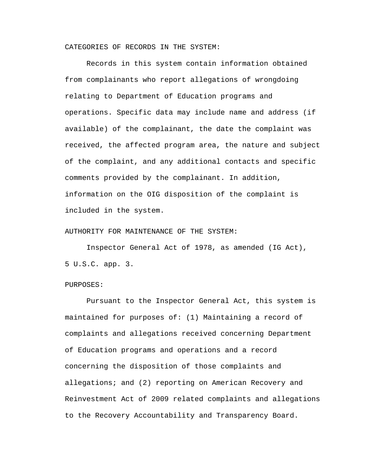CATEGORIES OF RECORDS IN THE SYSTEM:

Records in this system contain information obtained from complainants who report allegations of wrongdoing relating to Department of Education programs and operations. Specific data may include name and address (if available) of the complainant, the date the complaint was received, the affected program area, the nature and subject of the complaint, and any additional contacts and specific comments provided by the complainant. In addition, information on the OIG disposition of the complaint is included in the system.

# AUTHORITY FOR MAINTENANCE OF THE SYSTEM:

Inspector General Act of 1978, as amended (IG Act), 5 U.S.C. app. 3.

# PURPOSES:

Pursuant to the Inspector General Act, this system is maintained for purposes of: (1) Maintaining a record of complaints and allegations received concerning Department of Education programs and operations and a record concerning the disposition of those complaints and allegations; and (2) reporting on American Recovery and Reinvestment Act of 2009 related complaints and allegations to the Recovery Accountability and Transparency Board.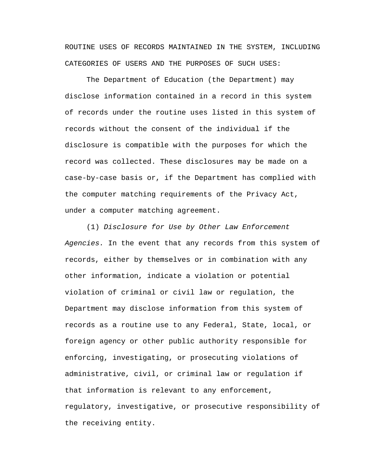ROUTINE USES OF RECORDS MAINTAINED IN THE SYSTEM, INCLUDING CATEGORIES OF USERS AND THE PURPOSES OF SUCH USES:

The Department of Education (the Department) may disclose information contained in a record in this system of records under the routine uses listed in this system of records without the consent of the individual if the disclosure is compatible with the purposes for which the record was collected. These disclosures may be made on a case-by-case basis or, if the Department has complied with the computer matching requirements of the Privacy Act, under a computer matching agreement.

(1) *Disclosure for Use by Other Law Enforcement Agencies.* In the event that any records from this system of records, either by themselves or in combination with any other information, indicate a violation or potential violation of criminal or civil law or regulation, the Department may disclose information from this system of records as a routine use to any Federal, State, local, or foreign agency or other public authority responsible for enforcing, investigating, or prosecuting violations of administrative, civil, or criminal law or regulation if that information is relevant to any enforcement, regulatory, investigative, or prosecutive responsibility of the receiving entity.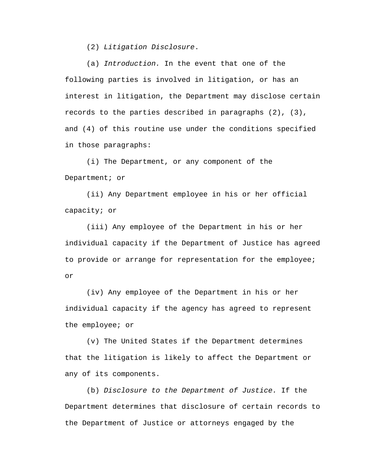(2) *Litigation Disclosure*.

(a) *Introduction.* In the event that one of the following parties is involved in litigation, or has an interest in litigation, the Department may disclose certain records to the parties described in paragraphs (2), (3), and (4) of this routine use under the conditions specified in those paragraphs:

(i) The Department, or any component of the Department; or

(ii) Any Department employee in his or her official capacity; or

(iii) Any employee of the Department in his or her individual capacity if the Department of Justice has agreed to provide or arrange for representation for the employee; or

(iv) Any employee of the Department in his or her individual capacity if the agency has agreed to represent the employee; or

(v) The United States if the Department determines that the litigation is likely to affect the Department or any of its components.

(b) *Disclosure to the Department of Justice.* If the Department determines that disclosure of certain records to the Department of Justice or attorneys engaged by the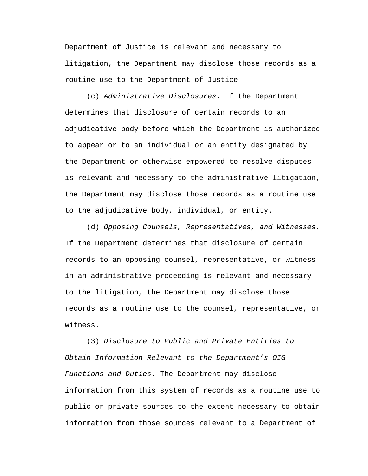Department of Justice is relevant and necessary to litigation, the Department may disclose those records as a routine use to the Department of Justice.

(c) *Administrative Disclosures.* If the Department determines that disclosure of certain records to an adjudicative body before which the Department is authorized to appear or to an individual or an entity designated by the Department or otherwise empowered to resolve disputes is relevant and necessary to the administrative litigation, the Department may disclose those records as a routine use to the adjudicative body, individual, or entity.

(d) *Opposing Counsels, Representatives, and Witnesses.*  If the Department determines that disclosure of certain records to an opposing counsel, representative, or witness in an administrative proceeding is relevant and necessary to the litigation, the Department may disclose those records as a routine use to the counsel, representative, or witness.

(3) *Disclosure to Public and Private Entities to Obtain Information Relevant to the Department's OIG Functions and Duties.* The Department may disclose information from this system of records as a routine use to public or private sources to the extent necessary to obtain information from those sources relevant to a Department of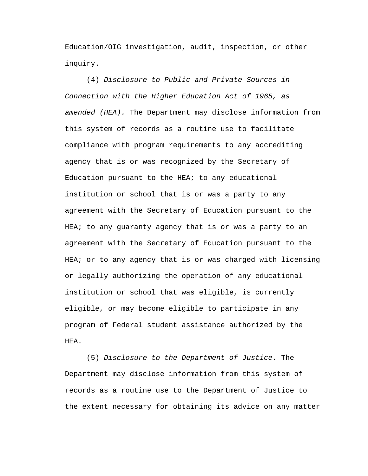Education/OIG investigation, audit, inspection, or other inquiry.

(4) *Disclosure to Public and Private Sources in Connection with the Higher Education Act of 1965, as amended (HEA).* The Department may disclose information from this system of records as a routine use to facilitate compliance with program requirements to any accrediting agency that is or was recognized by the Secretary of Education pursuant to the HEA; to any educational institution or school that is or was a party to any agreement with the Secretary of Education pursuant to the HEA; to any guaranty agency that is or was a party to an agreement with the Secretary of Education pursuant to the HEA; or to any agency that is or was charged with licensing or legally authorizing the operation of any educational institution or school that was eligible, is currently eligible, or may become eligible to participate in any program of Federal student assistance authorized by the HEA.

(5) *Disclosure to the Department of Justice.* The Department may disclose information from this system of records as a routine use to the Department of Justice to the extent necessary for obtaining its advice on any matter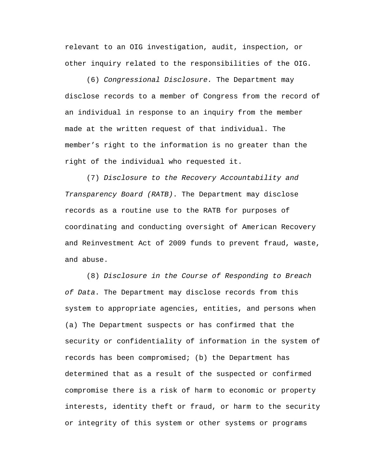relevant to an OIG investigation, audit, inspection, or other inquiry related to the responsibilities of the OIG.

(6) *Congressional Disclosure.* The Department may disclose records to a member of Congress from the record of an individual in response to an inquiry from the member made at the written request of that individual. The member's right to the information is no greater than the right of the individual who requested it.

(7) *Disclosure to the Recovery Accountability and Transparency Board (RATB)*. The Department may disclose records as a routine use to the RATB for purposes of coordinating and conducting oversight of American Recovery and Reinvestment Act of 2009 funds to prevent fraud, waste, and abuse.

(8) *Disclosure in the Course of Responding to Breach of Data*. The Department may disclose records from this system to appropriate agencies, entities, and persons when (a) The Department suspects or has confirmed that the security or confidentiality of information in the system of records has been compromised; (b) the Department has determined that as a result of the suspected or confirmed compromise there is a risk of harm to economic or property interests, identity theft or fraud, or harm to the security or integrity of this system or other systems or programs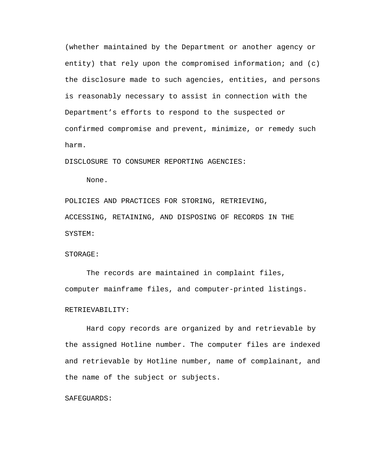(whether maintained by the Department or another agency or entity) that rely upon the compromised information; and  $(c)$ the disclosure made to such agencies, entities, and persons is reasonably necessary to assist in connection with the Department's efforts to respond to the suspected or confirmed compromise and prevent, minimize, or remedy such harm.

DISCLOSURE TO CONSUMER REPORTING AGENCIES:

None.

POLICIES AND PRACTICES FOR STORING, RETRIEVING, ACCESSING, RETAINING, AND DISPOSING OF RECORDS IN THE SYSTEM:

### STORAGE:

The records are maintained in complaint files, computer mainframe files, and computer-printed listings.

# RETRIEVABILITY:

Hard copy records are organized by and retrievable by the assigned Hotline number. The computer files are indexed and retrievable by Hotline number, name of complainant, and the name of the subject or subjects.

### SAFEGUARDS: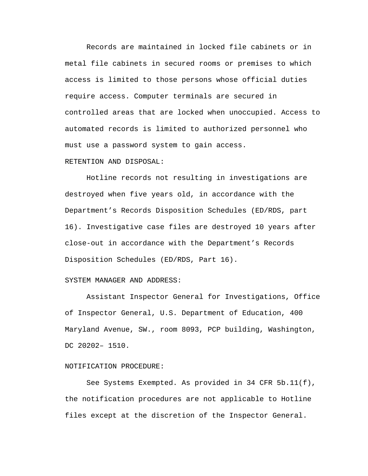Records are maintained in locked file cabinets or in metal file cabinets in secured rooms or premises to which access is limited to those persons whose official duties require access. Computer terminals are secured in controlled areas that are locked when unoccupied. Access to automated records is limited to authorized personnel who must use a password system to gain access.

# RETENTION AND DISPOSAL:

Hotline records not resulting in investigations are destroyed when five years old, in accordance with the Department's Records Disposition Schedules (ED/RDS, part 16). Investigative case files are destroyed 10 years after close-out in accordance with the Department's Records Disposition Schedules (ED/RDS, Part 16).

#### SYSTEM MANAGER AND ADDRESS:

Assistant Inspector General for Investigations, Office of Inspector General, U.S. Department of Education, 400 Maryland Avenue, SW., room 8093, PCP building, Washington, DC 20202– 1510.

### NOTIFICATION PROCEDURE:

See Systems Exempted. As provided in 34 CFR 5b.11(f), the notification procedures are not applicable to Hotline files except at the discretion of the Inspector General.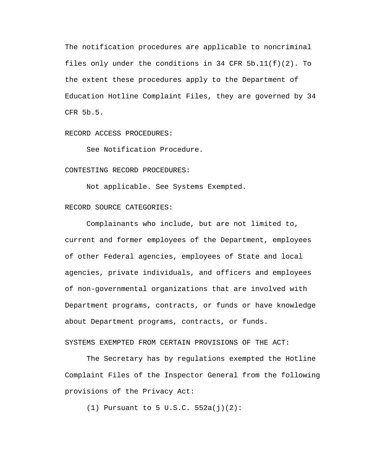The notification procedures are applicable to noncriminal files only under the conditions in 34 CFR  $5b.11(f)(2)$ . To the extent these procedures apply to the Department of Education Hotline Complaint Files, they are governed by 34 CFR 5b.5.

#### RECORD ACCESS PROCEDURES:

See Notification Procedure.

### CONTESTING RECORD PROCEDURES:

Not applicable. See Systems Exempted.

# RECORD SOURCE CATEGORIES:

Complainants who include, but are not limited to, current and former employees of the Department, employees of other Federal agencies, employees of State and local agencies, private individuals, and officers and employees of non-governmental organizations that are involved with Department programs, contracts, or funds or have knowledge about Department programs, contracts, or funds.

SYSTEMS EXEMPTED FROM CERTAIN PROVISIONS OF THE ACT:

The Secretary has by regulations exempted the Hotline Complaint Files of the Inspector General from the following provisions of the Privacy Act:

(1) Pursuant to 5 U.S.C. 552a(j)(2):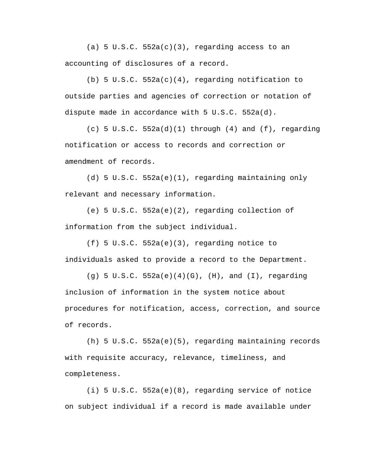(a) 5 U.S.C.  $552a(c)(3)$ , regarding access to an accounting of disclosures of a record.

(b) 5 U.S.C.  $552a(c)(4)$ , regarding notification to outside parties and agencies of correction or notation of dispute made in accordance with 5 U.S.C. 552a(d).

 $(c)$  5 U.S.C. 552a(d)(1) through (4) and (f), regarding notification or access to records and correction or amendment of records.

(d) 5 U.S.C. 552a(e)(1), regarding maintaining only relevant and necessary information.

(e) 5 U.S.C. 552a(e)(2), regarding collection of information from the subject individual.

(f) 5 U.S.C. 552a(e)(3), regarding notice to individuals asked to provide a record to the Department.

(g) 5 U.S.C. 552a(e)(4)(G), (H), and (I), regarding inclusion of information in the system notice about procedures for notification, access, correction, and source of records.

(h) 5 U.S.C. 552a(e)(5), regarding maintaining records with requisite accuracy, relevance, timeliness, and completeness.

(i) 5 U.S.C. 552a(e)(8), regarding service of notice on subject individual if a record is made available under